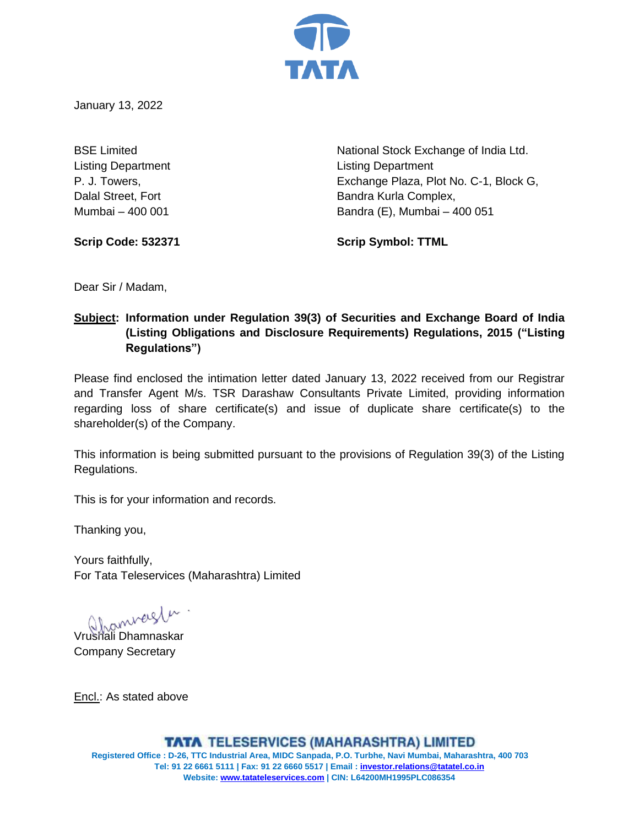

January 13, 2022

Listing Department Listing Department

BSE Limited **National Stock Exchange of India Ltd.** National Stock Exchange of India Ltd. P. J. Towers, Exchange Plaza, Plot No. C-1, Block G, Dalal Street, Fort **Bandra Kurla Complex**, Mumbai – 400 001 Bandra (E), Mumbai – 400 051

**Scrip Code: 532371 Scrip Symbol: TTML**

Dear Sir / Madam,

# **Subject: Information under Regulation 39(3) of Securities and Exchange Board of India (Listing Obligations and Disclosure Requirements) Regulations, 2015 ("Listing Regulations")**

Please find enclosed the intimation letter dated January 13, 2022 received from our Registrar and Transfer Agent M/s. TSR Darashaw Consultants Private Limited, providing information regarding loss of share certificate(s) and issue of duplicate share certificate(s) to the shareholder(s) of the Company.

This information is being submitted pursuant to the provisions of Regulation 39(3) of the Listing Regulations.

This is for your information and records.

Thanking you,

Yours faithfully, For Tata Teleservices (Maharashtra) Limited

Vrushali Dhamnaskar

Company Secretary

Encl.: As stated above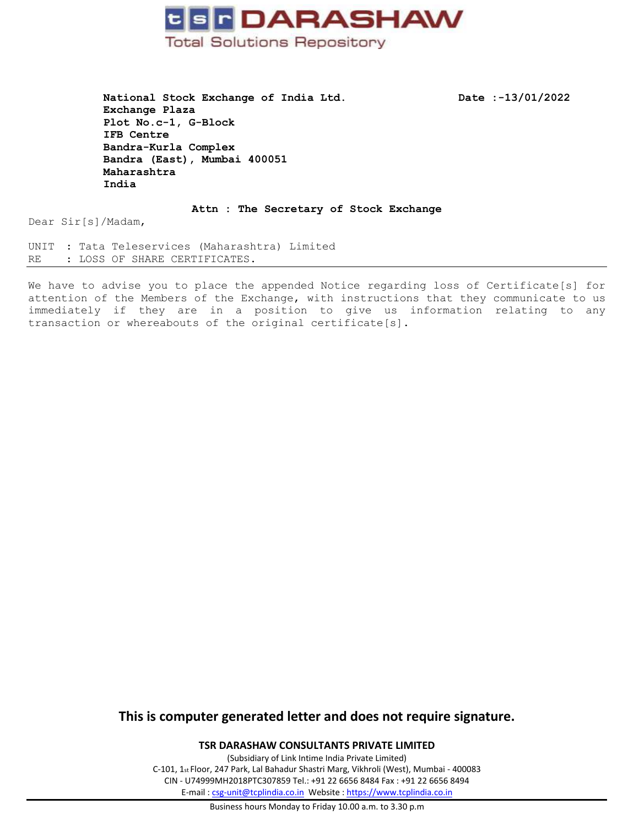

National Stock Exchange of India Ltd. Date :-13/01/2022 **Exchange Plaza Plot No.c-1, G-Block IFB Centre Bandra-Kurla Complex Bandra (East), Mumbai 400051 Maharashtra India**

**Attn : The Secretary of Stock Exchange**

Dear Sir[s]/Madam,

UNIT : Tata Teleservices (Maharashtra) Limited RE : LOSS OF SHARE CERTIFICATES.

We have to advise you to place the appended Notice regarding loss of Certificate[s] for attention of the Members of the Exchange, with instructions that they communicate to us immediately if they are in a position to give us information relating to any transaction or whereabouts of the original certificate[s].

## **This is computer generated letter and does not require signature.**

**TSR DARASHAW CONSULTANTS PRIVATE LIMITED**

(Subsidiary of Link Intime India Private Limited) C-101, 1st Floor, 247 Park, Lal Bahadur Shastri Marg, Vikhroli (West), Mumbai - 400083 CIN - U74999MH2018PTC307859 Tel.: +91 22 6656 8484 Fax : +91 22 6656 8494 E-mail [: csg-unit@tcplindia.co.in](mailto:csg-unit@tcplindia.co.in) Website [: https://www.tcplindia.co.in](https://www.tcplindia.co.in/)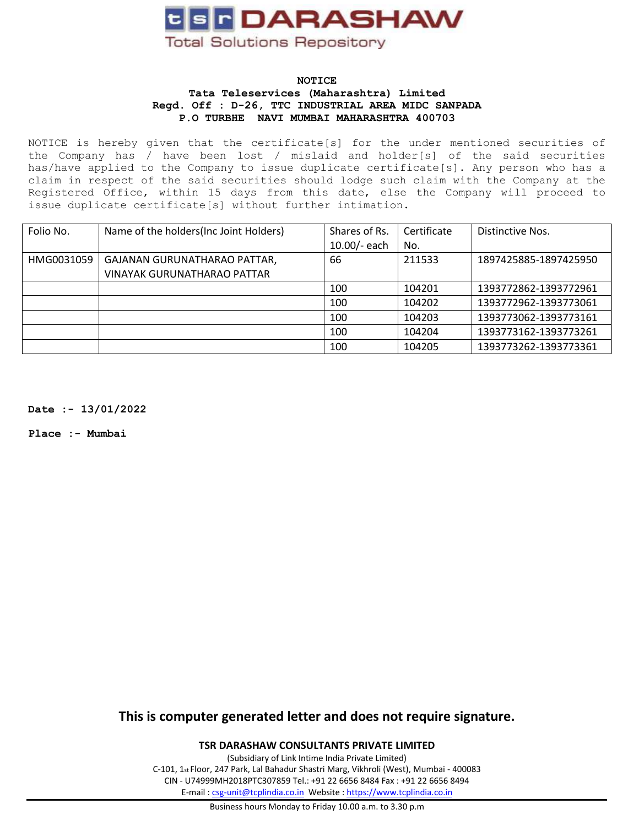

### **NOTICE Tata Teleservices (Maharashtra) Limited Regd. Off : D-26, TTC INDUSTRIAL AREA MIDC SANPADA P.O TURBHE NAVI MUMBAI MAHARASHTRA 400703**

NOTICE is hereby given that the certificate[s] for the under mentioned securities of the Company has / have been lost / mislaid and holder[s] of the said securities has/have applied to the Company to issue duplicate certificate[s]. Any person who has a claim in respect of the said securities should lodge such claim with the Company at the Registered Office, within 15 days from this date, else the Company will proceed to issue duplicate certificate[s] without further intimation.

| Folio No.  | Name of the holders (Inc Joint Holders) | Shares of Rs. | Certificate | Distinctive Nos.      |
|------------|-----------------------------------------|---------------|-------------|-----------------------|
|            |                                         | 10.00/- each  | No.         |                       |
| HMG0031059 | GAJANAN GURUNATHARAO PATTAR,            | 66            | 211533      | 1897425885-1897425950 |
|            | <b>VINAYAK GURUNATHARAO PATTAR</b>      |               |             |                       |
|            |                                         | 100           | 104201      | 1393772862-1393772961 |
|            |                                         | 100           | 104202      | 1393772962-1393773061 |
|            |                                         | 100           | 104203      | 1393773062-1393773161 |
|            |                                         | 100           | 104204      | 1393773162-1393773261 |
|            |                                         | 100           | 104205      | 1393773262-1393773361 |

**Date :- 13/01/2022**

**Place :- Mumbai**

**This is computer generated letter and does not require signature.**

**TSR DARASHAW CONSULTANTS PRIVATE LIMITED**

(Subsidiary of Link Intime India Private Limited) C-101, 1st Floor, 247 Park, Lal Bahadur Shastri Marg, Vikhroli (West), Mumbai - 400083 CIN - U74999MH2018PTC307859 Tel.: +91 22 6656 8484 Fax : +91 22 6656 8494 E-mail [: csg-unit@tcplindia.co.in](mailto:csg-unit@tcplindia.co.in) Website [: https://www.tcplindia.co.in](https://www.tcplindia.co.in/)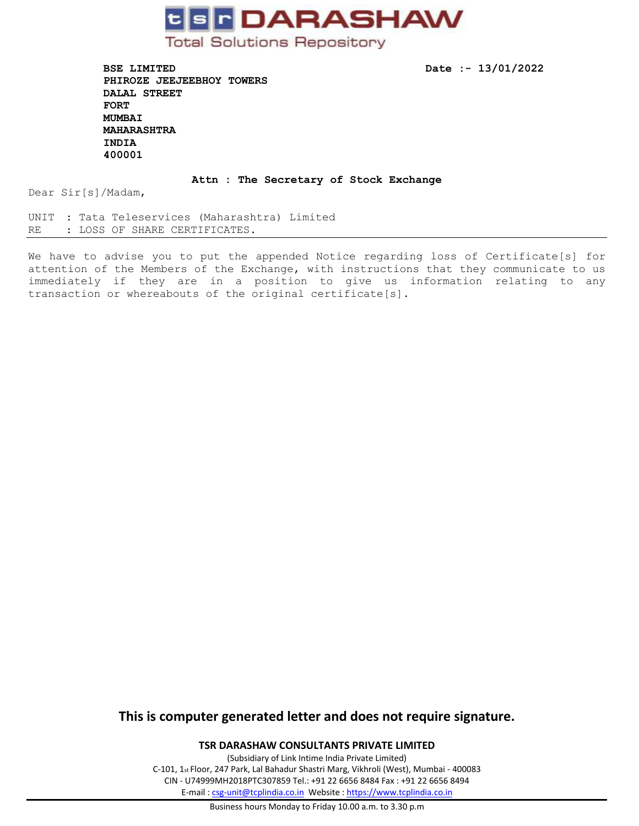

**BSE LIMITED** Date :- 13/01/2022 **PHIROZE JEEJEEBHOY TOWERS DALAL STREET FORT MUMBAI MAHARASHTRA INDIA 400001** 

#### **Attn : The Secretary of Stock Exchange**

Dear Sir[s]/Madam,

UNIT : Tata Teleservices (Maharashtra) Limited RE : LOSS OF SHARE CERTIFICATES.

We have to advise you to put the appended Notice regarding loss of Certificate[s] for attention of the Members of the Exchange, with instructions that they communicate to us immediately if they are in a position to give us information relating to any transaction or whereabouts of the original certificate[s].

## **This is computer generated letter and does not require signature.**

**TSR DARASHAW CONSULTANTS PRIVATE LIMITED**

(Subsidiary of Link Intime India Private Limited) C-101, 1st Floor, 247 Park, Lal Bahadur Shastri Marg, Vikhroli (West), Mumbai - 400083 CIN - U74999MH2018PTC307859 Tel.: +91 22 6656 8484 Fax : +91 22 6656 8494 E-mail [: csg-unit@tcplindia.co.in](mailto:csg-unit@tcplindia.co.in) Website [: https://www.tcplindia.co.in](https://www.tcplindia.co.in/)